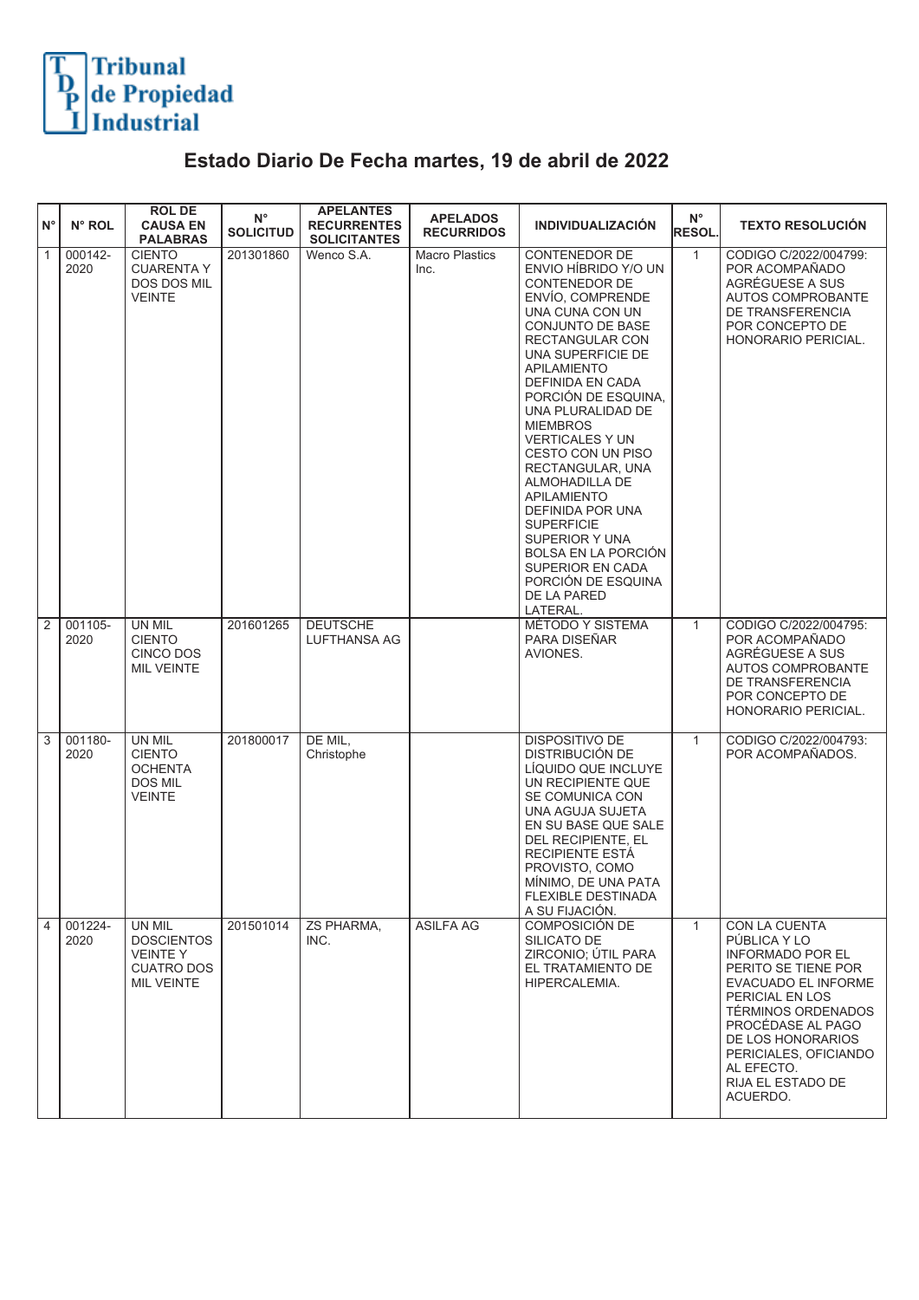

## **Estado Diario De Fecha martes, 19 de abril de 2022**

| $N^{\circ}$    | N° ROL          | <b>ROL DE</b><br><b>CAUSA EN</b><br><b>PALABRAS</b>                                     | $N^{\circ}$<br><b>SOLICITUD</b> | <b>APELANTES</b><br><b>RECURRENTES</b><br><b>SOLICITANTES</b> | <b>APELADOS</b><br><b>RECURRIDOS</b> | <b>INDIVIDUALIZACIÓN</b>                                                                                                                                                                                                                                                                                                                                                                                                                                                                                                                           | $N^{\circ}$<br>RESOL. | <b>TEXTO RESOLUCIÓN</b>                                                                                                                                                                                                                                                  |
|----------------|-----------------|-----------------------------------------------------------------------------------------|---------------------------------|---------------------------------------------------------------|--------------------------------------|----------------------------------------------------------------------------------------------------------------------------------------------------------------------------------------------------------------------------------------------------------------------------------------------------------------------------------------------------------------------------------------------------------------------------------------------------------------------------------------------------------------------------------------------------|-----------------------|--------------------------------------------------------------------------------------------------------------------------------------------------------------------------------------------------------------------------------------------------------------------------|
| $\overline{1}$ | 000142-<br>2020 | <b>CIENTO</b><br><b>CUARENTA Y</b><br>DOS DOS MIL<br><b>VEINTE</b>                      | 201301860                       | Wenco S.A.                                                    | <b>Macro Plastics</b><br>Inc.        | <b>CONTENEDOR DE</b><br>ENVIO HÍBRIDO Y/O UN<br>CONTENEDOR DE<br>ENVÍO. COMPRENDE<br>UNA CUNA CON UN<br>CONJUNTO DE BASE<br>RECTANGULAR CON<br>UNA SUPERFICIE DE<br><b>APILAMIENTO</b><br>DEFINIDA EN CADA<br>PORCIÓN DE ESQUINA,<br>UNA PLURALIDAD DE<br><b>MIEMBROS</b><br><b>VERTICALES Y UN</b><br>CESTO CON UN PISO<br>RECTANGULAR, UNA<br>ALMOHADILLA DE<br><b>APILAMIENTO</b><br>DEFINIDA POR UNA<br><b>SUPERFICIE</b><br>SUPERIOR Y UNA<br><b>BOLSA EN LA PORCIÓN</b><br>SUPERIOR EN CADA<br>PORCIÓN DE ESQUINA<br>DE LA PARED<br>LATERAL. | $\mathbf{1}$          | CODIGO C/2022/004799:<br>POR ACOMPAÑADO<br>AGRÉGUESE A SUS<br><b>AUTOS COMPROBANTE</b><br>DE TRANSFERENCIA<br>POR CONCEPTO DE<br>HONORARIO PERICIAL.                                                                                                                     |
| $\overline{2}$ | 001105-<br>2020 | UN MIL<br><b>CIENTO</b><br>CINCO DOS<br><b>MIL VEINTE</b>                               | 201601265                       | <b>DEUTSCHE</b><br>LUFTHANSA AG                               |                                      | MÉTODO Y SISTEMA<br>PARA DISEÑAR<br>AVIONES.                                                                                                                                                                                                                                                                                                                                                                                                                                                                                                       | $\mathbf{1}$          | CODIGO C/2022/004795:<br>POR ACOMPAÑADO<br>AGRÉGUESE A SUS<br><b>AUTOS COMPROBANTE</b><br>DE TRANSFERENCIA<br>POR CONCEPTO DE<br>HONORARIO PERICIAL.                                                                                                                     |
| 3              | 001180-<br>2020 | UN MIL<br><b>CIENTO</b><br><b>OCHENTA</b><br>DOS MIL<br><b>VEINTE</b>                   | 201800017                       | DE MIL,<br>Christophe                                         |                                      | <b>DISPOSITIVO DE</b><br>DISTRIBUCIÓN DE<br>LÍQUIDO QUE INCLUYE<br>UN RECIPIENTE QUE<br>SE COMUNICA CON<br>UNA AGUJA SUJETA<br>EN SU BASE QUE SALE<br>DEL RECIPIENTE, EL<br><b>RECIPIENTE ESTÁ</b><br>PROVISTO, COMO<br>MÍNIMO, DE UNA PATA<br>FLEXIBLE DESTINADA<br>A SU FIJACIÓN.                                                                                                                                                                                                                                                                | $\mathbf{1}$          | CODIGO C/2022/004793:<br>POR ACOMPAÑADOS.                                                                                                                                                                                                                                |
| 4              | 001224-<br>2020 | UN MIL<br><b>DOSCIENTOS</b><br><b>VEINTEY</b><br><b>CUATRO DOS</b><br><b>MIL VEINTE</b> | 201501014                       | ZS PHARMA,<br>INC.                                            | <b>ASILFA AG</b>                     | COMPOSICIÓN DE<br>SILICATO DE<br>ZIRCONIO; ÚTIL PARA<br>EL TRATAMIENTO DE<br>HIPERCALEMIA.                                                                                                                                                                                                                                                                                                                                                                                                                                                         | $\mathbf{1}$          | CON LA CUENTA<br>PÚBLICA Y LO<br><b>INFORMADO POR EL</b><br>PERITO SE TIENE POR<br><b>EVACUADO EL INFORME</b><br>PERICIAL EN LOS<br>TÉRMINOS ORDENADOS<br>PROCÉDASE AL PAGO<br>DE LOS HONORARIOS<br>PERICIALES, OFICIANDO<br>AL EFECTO.<br>RIJA EL ESTADO DE<br>ACUERDO. |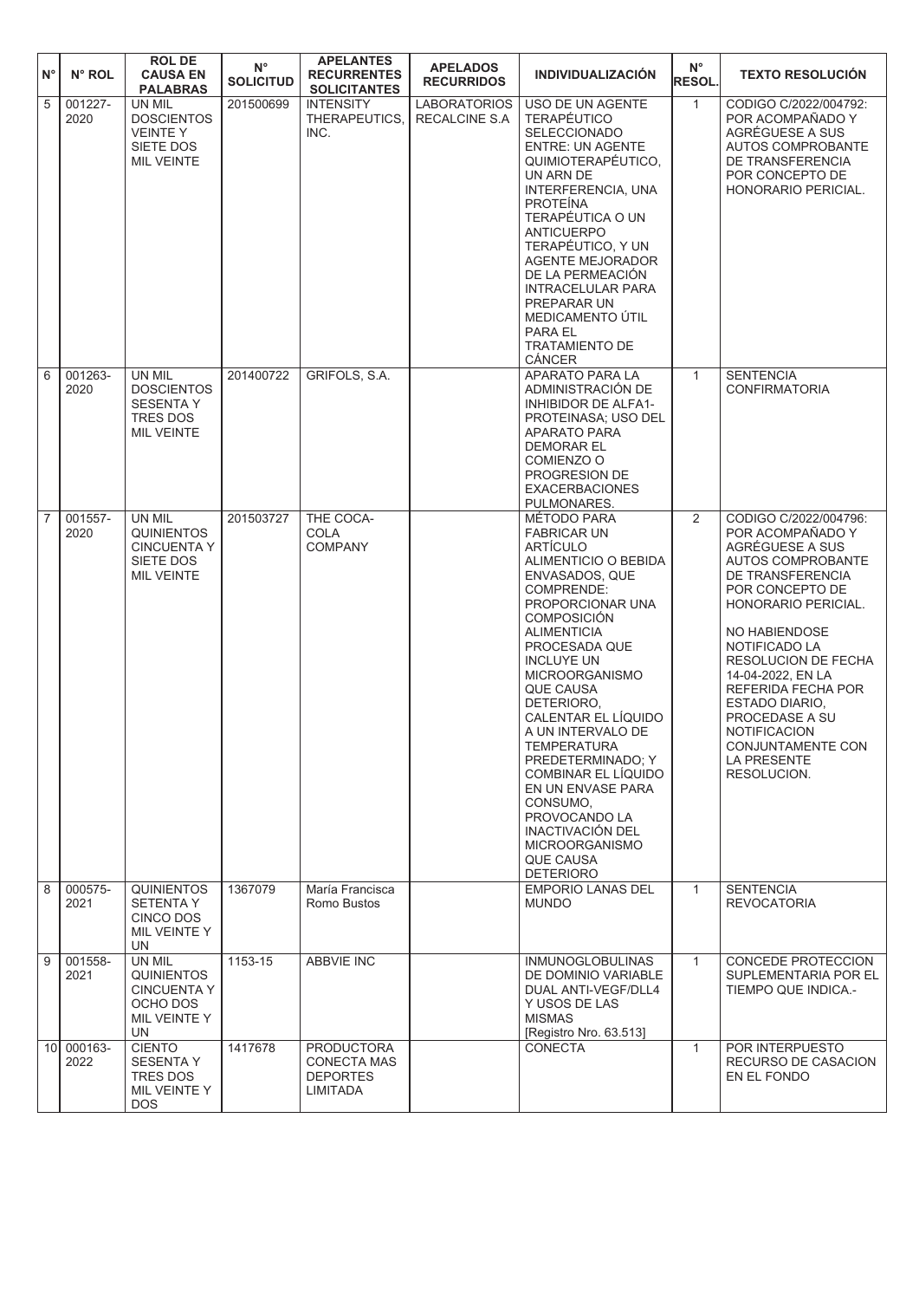| $\mathsf{N}^\circ$ | N° ROL             | <b>ROL DE</b><br><b>CAUSA EN</b><br><b>PALABRAS</b>                                        | $N^{\circ}$<br><b>SOLICITUD</b> | <b>APELANTES</b><br><b>RECURRENTES</b><br><b>SOLICITANTES</b>          | <b>APELADOS</b><br><b>RECURRIDOS</b>        | <b>INDIVIDUALIZACIÓN</b>                                                                                                                                                                                                                                                                                                                                                                                                                                                                                                    | $N^{\circ}$<br><b>RESOL.</b> | <b>TEXTO RESOLUCIÓN</b>                                                                                                                                                                                                                                                                                                                                                         |
|--------------------|--------------------|--------------------------------------------------------------------------------------------|---------------------------------|------------------------------------------------------------------------|---------------------------------------------|-----------------------------------------------------------------------------------------------------------------------------------------------------------------------------------------------------------------------------------------------------------------------------------------------------------------------------------------------------------------------------------------------------------------------------------------------------------------------------------------------------------------------------|------------------------------|---------------------------------------------------------------------------------------------------------------------------------------------------------------------------------------------------------------------------------------------------------------------------------------------------------------------------------------------------------------------------------|
| $\overline{5}$     | 001227-<br>2020    | UN MIL<br><b>DOSCIENTOS</b><br><b>VEINTE Y</b><br>SIETE DOS<br><b>MIL VEINTE</b>           | 201500699                       | <b>INTENSITY</b><br>THERAPEUTICS.<br>INC.                              | <b>LABORATORIOS</b><br><b>RECALCINE S.A</b> | USO DE UN AGENTE<br>TERAPÉUTICO<br><b>SELECCIONADO</b><br><b>ENTRE: UN AGENTE</b><br>QUIMIOTERAPÉUTICO,<br>UN ARN DE<br>INTERFERENCIA, UNA<br><b>PROTEINA</b><br>TERAPÉUTICA O UN<br><b>ANTICUERPO</b><br>TERAPÉUTICO, Y UN<br><b>AGENTE MEJORADOR</b><br>DE LA PERMEACIÓN<br>INTRACELULAR PARA<br>PREPARAR UN<br>MEDICAMENTO ÚTIL<br>PARA EL<br><b>TRATAMIENTO DE</b><br>CÁNCER                                                                                                                                            | $\mathbf{1}$                 | CODIGO C/2022/004792:<br>POR ACOMPAÑADO Y<br>AGRÉGUESE A SUS<br>AUTOS COMPROBANTE<br>DE TRANSFERENCIA<br>POR CONCEPTO DE<br>HONORARIO PERICIAL.                                                                                                                                                                                                                                 |
| 6                  | 001263-<br>2020    | UN MIL<br><b>DOSCIENTOS</b><br><b>SESENTA Y</b><br>TRES DOS<br><b>MIL VEINTE</b>           | 201400722                       | GRIFOLS, S.A.                                                          |                                             | <b>APARATO PARA LA</b><br>ADMINISTRACIÓN DE<br>INHIBIDOR DE ALFA1-<br>PROTEINASA; USO DEL<br><b>APARATO PARA</b><br><b>DEMORAR EL</b><br>COMIENZO O<br>PROGRESION DE<br><b>EXACERBACIONES</b><br>PULMONARES.                                                                                                                                                                                                                                                                                                                | $\mathbf{1}$                 | <b>SENTENCIA</b><br><b>CONFIRMATORIA</b>                                                                                                                                                                                                                                                                                                                                        |
| $\overline{7}$     | 001557-<br>2020    | UN MIL<br><b>QUINIENTOS</b><br><b>CINCUENTA Y</b><br>SIETE DOS<br><b>MIL VEINTE</b>        | 201503727                       | THE COCA-<br><b>COLA</b><br><b>COMPANY</b>                             |                                             | MÉTODO PARA<br><b>FABRICAR UN</b><br>ARTÍCULO<br>ALIMENTICIO O BEBIDA<br>ENVASADOS, QUE<br>COMPRENDE:<br>PROPORCIONAR UNA<br><b>COMPOSICIÓN</b><br><b>ALIMENTICIA</b><br>PROCESADA QUE<br><b>INCLUYE UN</b><br><b>MICROORGANISMO</b><br><b>QUE CAUSA</b><br>DETERIORO,<br>CALENTAR EL LÍQUIDO<br>A UN INTERVALO DE<br>TEMPERATURA<br>PREDETERMINADO: Y<br>COMBINAR EL LÍQUIDO<br>EN UN ENVASE PARA<br>CONSUMO,<br>PROVOCANDO LA<br><b>INACTIVACIÓN DEL</b><br><b>MICROORGANISMO</b><br><b>QUE CAUSA</b><br><b>DETERIORO</b> | 2                            | CODIGO C/2022/004796:<br>POR ACOMPAÑADO Y<br>AGRÉGUESE A SUS<br>AUTOS COMPROBANTE<br>DE TRANSFERENCIA<br>POR CONCEPTO DE<br>HONORARIO PERICIAL.<br>NO HABIENDOSE<br>NOTIFICADO LA<br>RESOLUCION DE FECHA<br>14-04-2022, EN LA<br>REFERIDA FECHA POR<br><b>ESTADO DIARIO.</b><br>PROCEDASE A SU<br><b>NOTIFICACION</b><br>CONJUNTAMENTE CON<br><b>LA PRESENTE</b><br>RESOLUCION. |
| $\sqrt{8}$         | 000575-<br>2021    | <b>QUINIENTOS</b><br><b>SETENTA Y</b><br>CINCO DOS<br>MIL VEINTE Y<br>UN                   | 1367079                         | María Francisca<br>Romo Bustos                                         |                                             | <b>EMPORIO LANAS DEL</b><br><b>MUNDO</b>                                                                                                                                                                                                                                                                                                                                                                                                                                                                                    | $\mathbf{1}$                 | <b>SENTENCIA</b><br><b>REVOCATORIA</b>                                                                                                                                                                                                                                                                                                                                          |
| $\sqrt{9}$         | 001558-<br>2021    | UN MIL<br><b>QUINIENTOS</b><br><b>CINCUENTA Y</b><br>OCHO DOS<br>MIL VEINTE Y<br><b>UN</b> | 1153-15                         | <b>ABBVIE INC</b>                                                      |                                             | <b>INMUNOGLOBULINAS</b><br>DE DOMINIO VARIABLE<br>DUAL ANTI-VEGF/DLL4<br>Y USOS DE LAS<br><b>MISMAS</b><br>[Registro Nro. 63.513]                                                                                                                                                                                                                                                                                                                                                                                           | $\mathbf{1}$                 | CONCEDE PROTECCION<br>SUPLEMENTARIA POR EL<br>TIEMPO QUE INDICA.-                                                                                                                                                                                                                                                                                                               |
|                    | 10 000163-<br>2022 | <b>CIENTO</b><br><b>SESENTA Y</b><br>TRES DOS<br>MIL VEINTE Y<br>DOS.                      | 1417678                         | <b>PRODUCTORA</b><br><b>CONECTA MAS</b><br><b>DEPORTES</b><br>LIMITADA |                                             | <b>CONECTA</b>                                                                                                                                                                                                                                                                                                                                                                                                                                                                                                              | $\mathbf{1}$                 | POR INTERPUESTO<br>RECURSO DE CASACION<br>EN EL FONDO                                                                                                                                                                                                                                                                                                                           |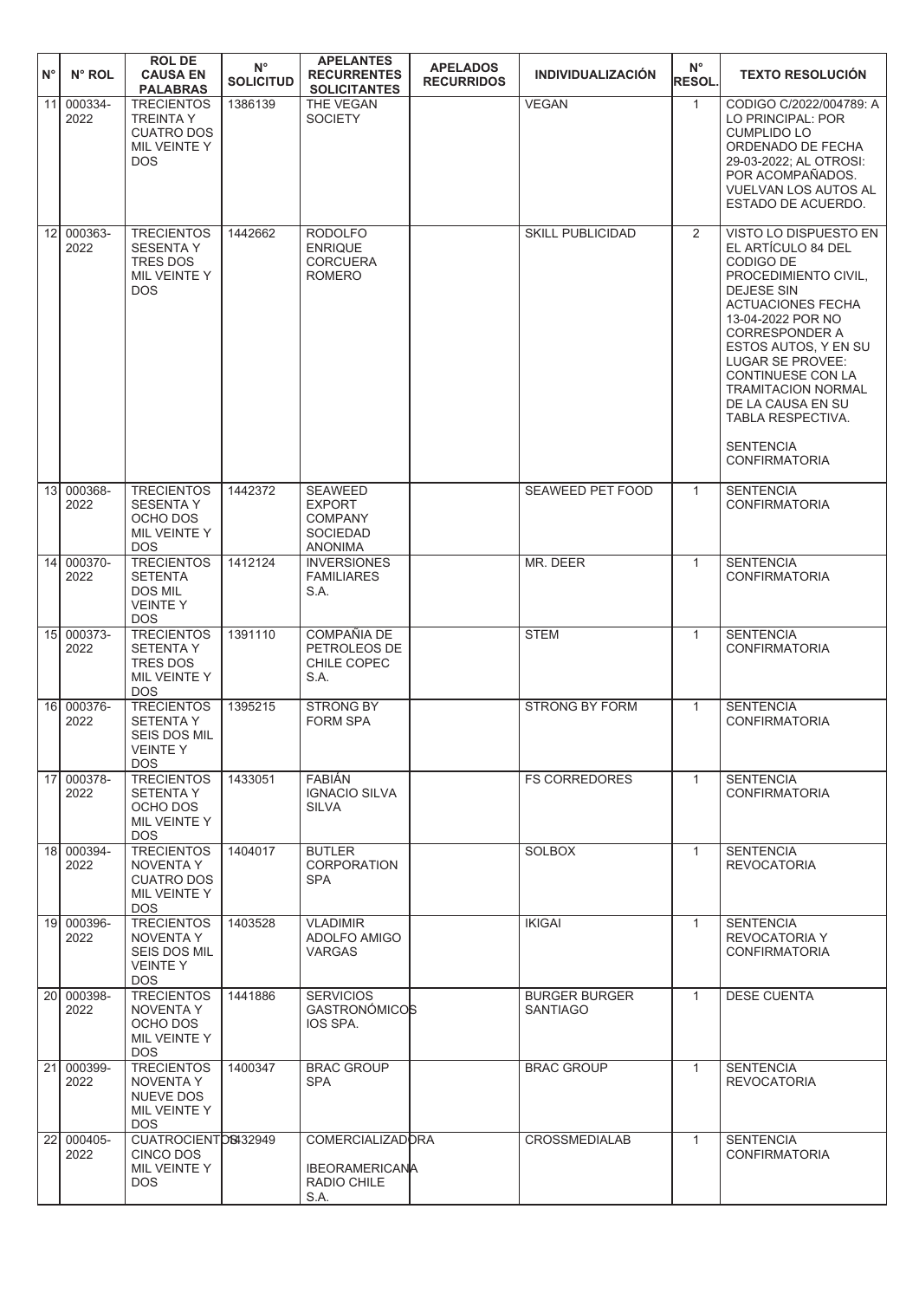| $N^{\circ}$ | N° ROL             | <b>ROLDE</b><br><b>CAUSA EN</b><br><b>PALABRAS</b>                                           | $N^{\circ}$<br><b>SOLICITUD</b> | <b>APELANTES</b><br><b>RECURRENTES</b><br><b>SOLICITANTES</b>                   | <b>APELADOS</b><br><b>RECURRIDOS</b> | <b>INDIVIDUALIZACIÓN</b>                | $N^{\circ}$<br>RESOL. | <b>TEXTO RESOLUCIÓN</b>                                                                                                                                                                                                                                                                                                                                                    |
|-------------|--------------------|----------------------------------------------------------------------------------------------|---------------------------------|---------------------------------------------------------------------------------|--------------------------------------|-----------------------------------------|-----------------------|----------------------------------------------------------------------------------------------------------------------------------------------------------------------------------------------------------------------------------------------------------------------------------------------------------------------------------------------------------------------------|
| 11          | 000334-<br>2022    | <b>TRECIENTOS</b><br><b>TREINTA Y</b><br><b>CUATRO DOS</b><br>MIL VEINTE Y<br><b>DOS</b>     | 1386139                         | THE VEGAN<br><b>SOCIETY</b>                                                     |                                      | <b>VEGAN</b>                            | $\mathbf{1}$          | CODIGO C/2022/004789: A<br>LO PRINCIPAL: POR<br><b>CUMPLIDO LO</b><br>ORDENADO DE FECHA<br>29-03-2022; AL OTROSI:<br>POR ACOMPAÑADOS.<br><b>VUELVAN LOS AUTOS AL</b><br>ESTADO DE ACUERDO.                                                                                                                                                                                 |
|             | 12 000363-<br>2022 | <b>TRECIENTOS</b><br><b>SESENTA Y</b><br><b>TRES DOS</b><br>MIL VEINTE Y<br><b>DOS</b>       | 1442662                         | <b>RODOLFO</b><br><b>ENRIQUE</b><br><b>CORCUERA</b><br><b>ROMERO</b>            |                                      | <b>SKILL PUBLICIDAD</b>                 | $\overline{2}$        | VISTO LO DISPUESTO EN<br>EL ARTÍCULO 84 DEL<br>CODIGO DE<br>PROCEDIMIENTO CIVIL.<br><b>DEJESE SIN</b><br><b>ACTUACIONES FECHA</b><br>13-04-2022 POR NO<br><b>CORRESPONDER A</b><br>ESTOS AUTOS, Y EN SU<br><b>LUGAR SE PROVEE:</b><br>CONTINUESE CON LA<br><b>TRAMITACION NORMAL</b><br>DE LA CAUSA EN SU<br>TABLA RESPECTIVA.<br><b>SENTENCIA</b><br><b>CONFIRMATORIA</b> |
|             | 13 000368-<br>2022 | <b>TRECIENTOS</b><br><b>SESENTA Y</b><br>OCHO DOS<br>MIL VEINTE Y<br><b>DOS</b>              | 1442372                         | <b>SEAWEED</b><br><b>EXPORT</b><br><b>COMPANY</b><br>SOCIEDAD<br><b>ANONIMA</b> |                                      | <b>SEAWEED PET FOOD</b>                 | $\mathbf{1}$          | <b>SENTENCIA</b><br><b>CONFIRMATORIA</b>                                                                                                                                                                                                                                                                                                                                   |
|             | 14 000370-<br>2022 | <b>TRECIENTOS</b><br><b>SETENTA</b><br><b>DOS MIL</b><br><b>VEINTEY</b><br><b>DOS</b>        | 1412124                         | <b>INVERSIONES</b><br><b>FAMILIARES</b><br>S.A.                                 |                                      | MR. DEER                                | $\mathbf{1}$          | <b>SENTENCIA</b><br><b>CONFIRMATORIA</b>                                                                                                                                                                                                                                                                                                                                   |
|             | 15 000373-<br>2022 | <b>TRECIENTOS</b><br><b>SETENTA Y</b><br>TRES DOS<br>MIL VEINTE Y<br><b>DOS</b>              | 1391110                         | <b>COMPAÑIA DE</b><br>PETROLEOS DE<br>CHILE COPEC<br>S.A.                       |                                      | <b>STEM</b>                             | $\mathbf{1}$          | <b>SENTENCIA</b><br><b>CONFIRMATORIA</b>                                                                                                                                                                                                                                                                                                                                   |
|             | 16 000376-<br>2022 | <b>TRECIENTOS</b><br><b>SETENTA Y</b><br><b>SEIS DOS MIL</b><br><b>VEINTEY</b><br><b>DOS</b> | 1395215                         | <b>STRONG BY</b><br><b>FORM SPA</b>                                             |                                      | <b>STRONG BY FORM</b>                   | $\mathbf{1}$          | <b>SENTENCIA</b><br><b>CONFIRMATORIA</b>                                                                                                                                                                                                                                                                                                                                   |
|             | 17 000378-<br>2022 | <b>TRECIENTOS</b><br><b>SETENTA Y</b><br>OCHO DOS<br>MIL VEINTE Y<br><b>DOS</b>              | 1433051                         | <b>FABIAN</b><br><b>IGNACIO SILVA</b><br><b>SILVA</b>                           |                                      | <b>FS CORREDORES</b>                    | $\mathbf{1}$          | <b>SENTENCIA</b><br><b>CONFIRMATORIA</b>                                                                                                                                                                                                                                                                                                                                   |
|             | 18 000394-<br>2022 | <b>TRECIENTOS</b><br><b>NOVENTA Y</b><br><b>CUATRO DOS</b><br>MIL VEINTE Y<br><b>DOS</b>     | 1404017                         | <b>BUTLER</b><br><b>CORPORATION</b><br><b>SPA</b>                               |                                      | <b>SOLBOX</b>                           | $\mathbf{1}$          | <b>SENTENCIA</b><br><b>REVOCATORIA</b>                                                                                                                                                                                                                                                                                                                                     |
|             | 19 000396-<br>2022 | <b>TRECIENTOS</b><br><b>NOVENTA Y</b><br>SEIS DOS MIL<br><b>VEINTEY</b><br><b>DOS</b>        | 1403528                         | <b>VLADIMIR</b><br>ADOLFO AMIGO<br><b>VARGAS</b>                                |                                      | <b>IKIGAI</b>                           | $\mathbf{1}$          | <b>SENTENCIA</b><br><b>REVOCATORIA Y</b><br><b>CONFIRMATORIA</b>                                                                                                                                                                                                                                                                                                           |
|             | 20 000398-<br>2022 | <b>TRECIENTOS</b><br>NOVENTA Y<br>OCHO DOS<br>MIL VEINTE Y<br><b>DOS</b>                     | 1441886                         | <b>SERVICIOS</b><br><b>GASTRONÓMICOS</b><br>IOS SPA.                            |                                      | <b>BURGER BURGER</b><br><b>SANTIAGO</b> | $\mathbf{1}$          | <b>DESE CUENTA</b>                                                                                                                                                                                                                                                                                                                                                         |
| 21          | 000399-<br>2022    | <b>TRECIENTOS</b><br><b>NOVENTA Y</b><br><b>NUEVE DOS</b><br>MIL VEINTE Y<br><b>DOS</b>      | 1400347                         | <b>BRAC GROUP</b><br><b>SPA</b>                                                 |                                      | <b>BRAC GROUP</b>                       | $\mathbf{1}$          | <b>SENTENCIA</b><br><b>REVOCATORIA</b>                                                                                                                                                                                                                                                                                                                                     |
|             | 22 000405-<br>2022 | CUATROCIENTOS432949<br>CINCO DOS<br>MIL VEINTE Y<br><b>DOS</b>                               |                                 | <b>COMERCIALIZADORA</b><br><b>IBEORAMERICANA</b><br>RADIO CHILE<br>S.A.         |                                      | <b>CROSSMEDIALAB</b>                    | $\mathbf{1}$          | <b>SENTENCIA</b><br><b>CONFIRMATORIA</b>                                                                                                                                                                                                                                                                                                                                   |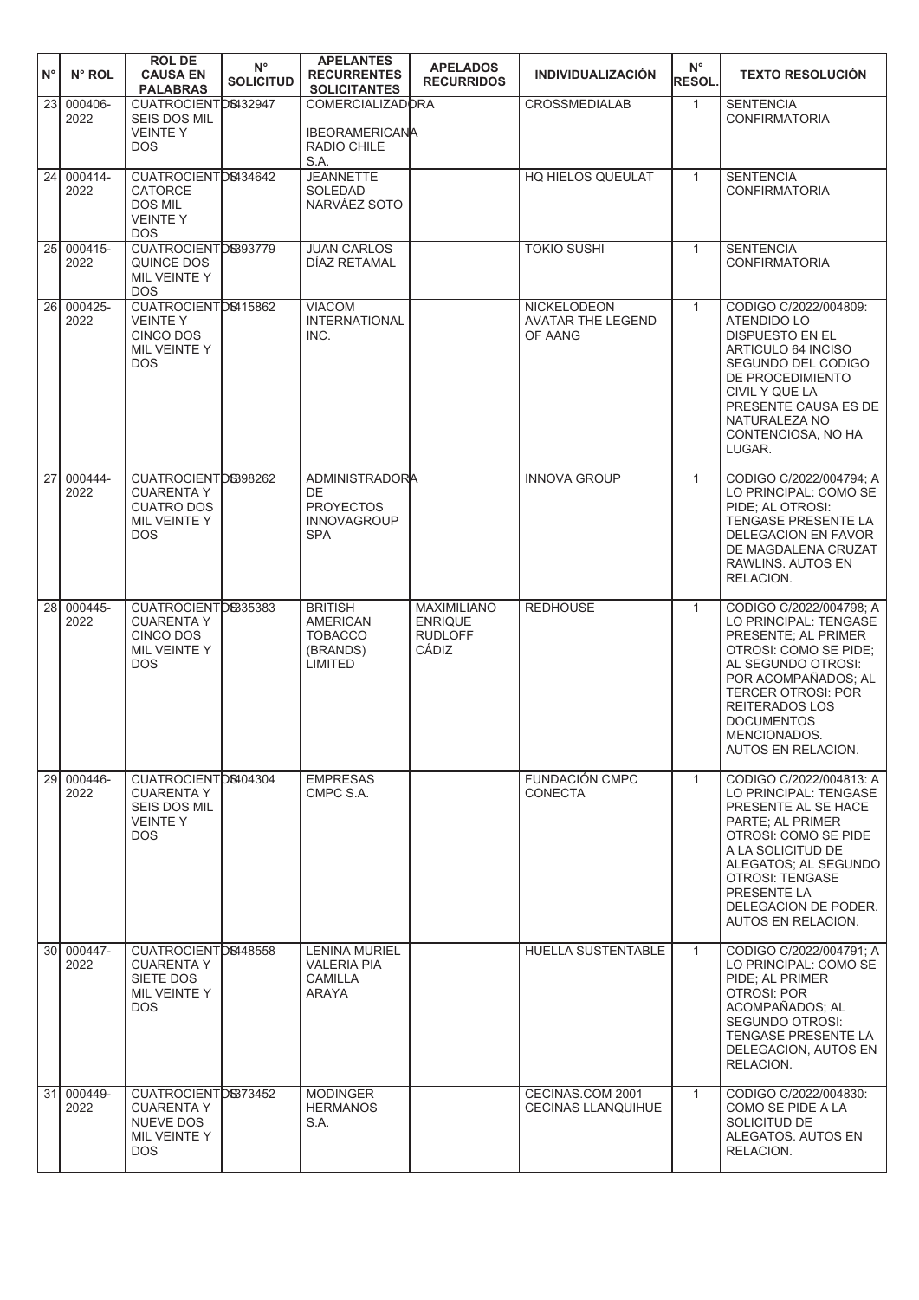| $N^{\circ}$     | N° ROL          | <b>ROL DE</b><br><b>CAUSA EN</b><br><b>PALABRAS</b>                                         | $N^{\circ}$<br><b>SOLICITUD</b> | <b>APELANTES</b><br><b>RECURRENTES</b><br><b>SOLICITANTES</b>                       | <b>APELADOS</b><br><b>RECURRIDOS</b>                            | <b>INDIVIDUALIZACIÓN</b>                           | $N^{\circ}$<br><b>RESOL.</b> | <b>TEXTO RESOLUCIÓN</b>                                                                                                                                                                                                                                        |
|-----------------|-----------------|---------------------------------------------------------------------------------------------|---------------------------------|-------------------------------------------------------------------------------------|-----------------------------------------------------------------|----------------------------------------------------|------------------------------|----------------------------------------------------------------------------------------------------------------------------------------------------------------------------------------------------------------------------------------------------------------|
| 23              | 000406-<br>2022 | CUATROCIENTOS432947<br>SEIS DOS MIL<br><b>VEINTEY</b><br>DOS.                               |                                 | <b>COMERCIALIZADORA</b><br><b>IBEORAMERICANA</b><br>RADIO CHILE<br>S.A.             |                                                                 | <b>CROSSMEDIALAB</b>                               | $\mathbf{1}$                 | <b>SENTENCIA</b><br><b>CONFIRMATORIA</b>                                                                                                                                                                                                                       |
| 24              | 000414-<br>2022 | CUATROCIENTOS434642<br><b>CATORCE</b><br><b>DOS MIL</b><br><b>VEINTEY</b><br><b>DOS</b>     |                                 | <b>JEANNETTE</b><br><b>SOLEDAD</b><br>NARVÁEZ SOTO                                  |                                                                 | HQ HIELOS QUEULAT                                  | $\mathbf{1}$                 | <b>SENTENCIA</b><br><b>CONFIRMATORIA</b>                                                                                                                                                                                                                       |
| 25              | 000415-<br>2022 | CUATROCIENTOS393779<br>QUINCE DOS<br>MIL VEINTE Y<br><b>DOS</b>                             |                                 | <b>JUAN CARLOS</b><br>DÍAZ RETAMAL                                                  |                                                                 | <b>TOKIO SUSHI</b>                                 | $\mathbf{1}$                 | <b>SENTENCIA</b><br><b>CONFIRMATORIA</b>                                                                                                                                                                                                                       |
| 26I             | 000425-<br>2022 | CUATROCIENTOS415862<br><b>VEINTEY</b><br>CINCO DOS<br>MIL VEINTE Y<br><b>DOS</b>            |                                 | <b>VIACOM</b><br><b>INTERNATIONAL</b><br>INC.                                       |                                                                 | NICKELODEON<br><b>AVATAR THE LEGEND</b><br>OF AANG | $\mathbf{1}$                 | CODIGO C/2022/004809:<br><b>ATENDIDO LO</b><br><b>DISPUESTO EN EL</b><br>ARTICULO 64 INCISO<br>SEGUNDO DEL CODIGO<br>DE PROCEDIMIENTO<br>CIVIL Y QUE LA<br>PRESENTE CAUSA ES DE<br>NATURALEZA NO<br>CONTENCIOSA, NO HA<br>LUGAR.                               |
| 27 <sup>1</sup> | 000444-<br>2022 | CUATROCIENTOS398262<br><b>CUARENTA Y</b><br><b>CUATRO DOS</b><br>MIL VEINTE Y<br><b>DOS</b> |                                 | <b>ADMINISTRADORA</b><br>DE<br><b>PROYECTOS</b><br><b>INNOVAGROUP</b><br><b>SPA</b> |                                                                 | <b>INNOVA GROUP</b>                                | $\mathbf{1}$                 | CODIGO C/2022/004794: A<br>LO PRINCIPAL: COMO SE<br>PIDE; AL OTROSI:<br>TENGASE PRESENTE LA<br>DELEGACION EN FAVOR<br>DE MAGDALENA CRUZAT<br>RAWLINS, AUTOS EN<br>RELACION.                                                                                    |
| 28              | 000445-<br>2022 | CUATROCIENTOS35383<br><b>CUARENTA Y</b><br>CINCO DOS<br>MIL VEINTE Y<br><b>DOS</b>          |                                 | <b>BRITISH</b><br><b>AMERICAN</b><br><b>TOBACCO</b><br>(BRANDS)<br><b>LIMITED</b>   | <b>MAXIMILIANO</b><br><b>ENRIQUE</b><br><b>RUDLOFF</b><br>CÁDIZ | <b>REDHOUSE</b>                                    | $\mathbf{1}$                 | CODIGO C/2022/004798; A<br>LO PRINCIPAL: TENGASE<br>PRESENTE; AL PRIMER<br>OTROSI: COMO SE PIDE;<br>AL SEGUNDO OTROSI:<br>POR ACOMPAÑADOS. AL<br><b>TERCER OTROSI: POR</b><br><b>REITERADOS LOS</b><br><b>DOCUMENTOS</b><br>MENCIONADOS.<br>AUTOS EN RELACION. |
| 29I             | 000446-<br>2022 | CUATROCIENTOS404304<br><b>CUARENTA Y</b><br>SEIS DOS MIL<br><b>VEINTEY</b><br><b>DOS</b>    |                                 | <b>EMPRESAS</b><br>CMPC S.A.                                                        |                                                                 | <b>FUNDACIÓN CMPC</b><br>CONECTA                   | $\mathbf{1}$                 | CODIGO C/2022/004813: A<br>LO PRINCIPAL: TENGASE<br>PRESENTE AL SE HACE<br>PARTE: AL PRIMER<br>OTROSI: COMO SE PIDE<br>A LA SOLICITUD DE<br>ALEGATOS; AL SEGUNDO<br><b>OTROSI: TENGASE</b><br>PRESENTE LA<br>DELEGACION DE PODER.<br>AUTOS EN RELACION.        |
| 30I             | 000447-<br>2022 | CUATROCIENTOS448558<br><b>CUARENTA Y</b><br>SIETE DOS<br>MIL VEINTE Y<br>DOS.               |                                 | <b>LENINA MURIEL</b><br><b>VALERIA PIA</b><br><b>CAMILLA</b><br>ARAYA               |                                                                 | HUELLA SUSTENTABLE                                 | $\mathbf{1}$                 | CODIGO C/2022/004791; A<br>LO PRINCIPAL: COMO SE<br>PIDE; AL PRIMER<br><b>OTROSI: POR</b><br>ACOMPAÑADOS; AL<br>SEGUNDO OTROSI:<br>TENGASE PRESENTE LA<br>DELEGACION, AUTOS EN<br>RELACION.                                                                    |
| 31              | 000449-<br>2022 | CUATROCIENTOS373452<br><b>CUARENTA Y</b><br><b>NUEVE DOS</b><br>MIL VEINTE Y<br>DOS.        |                                 | <b>MODINGER</b><br><b>HERMANOS</b><br>S.A.                                          |                                                                 | CECINAS.COM 2001<br><b>CECINAS LLANQUIHUE</b>      | $\mathbf{1}$                 | CODIGO C/2022/004830:<br>COMO SE PIDE A LA<br>SOLICITUD DE<br>ALEGATOS. AUTOS EN<br>RELACION.                                                                                                                                                                  |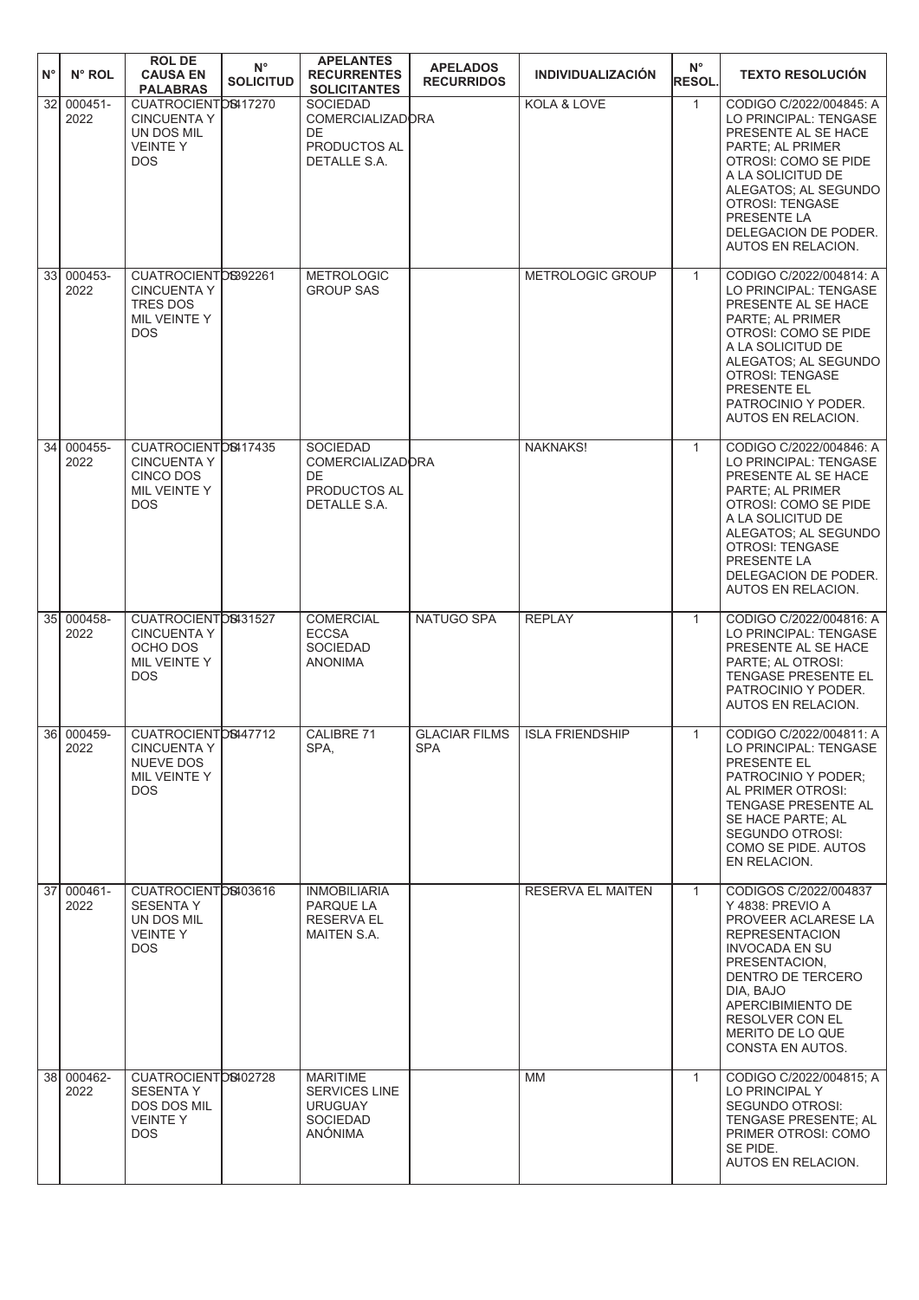| $N^{\circ}$     | N° ROL             | <b>ROL DE</b><br><b>CAUSA EN</b><br><b>PALABRAS</b>                                         | $N^{\circ}$<br><b>SOLICITUD</b> | <b>APELANTES</b><br><b>RECURRENTES</b><br><b>SOLICITANTES</b>                           | <b>APELADOS</b><br><b>RECURRIDOS</b> | <b>INDIVIDUALIZACIÓN</b> | $N^{\circ}$<br><b>RESOL.</b> | <b>TEXTO RESOLUCIÓN</b>                                                                                                                                                                                                                                 |
|-----------------|--------------------|---------------------------------------------------------------------------------------------|---------------------------------|-----------------------------------------------------------------------------------------|--------------------------------------|--------------------------|------------------------------|---------------------------------------------------------------------------------------------------------------------------------------------------------------------------------------------------------------------------------------------------------|
| 32              | 000451-<br>2022    | CUATROCIENTOS417270<br><b>CINCUENTA Y</b><br>UN DOS MIL<br><b>VEINTEY</b><br><b>DOS</b>     |                                 | <b>SOCIEDAD</b><br><b>COMERCIALIZADORA</b><br>DE<br>PRODUCTOS AL<br>DETALLE S.A.        |                                      | KOLA & LOVE              | $\mathbf{1}$                 | CODIGO C/2022/004845: A<br>LO PRINCIPAL: TENGASE<br>PRESENTE AL SE HACE<br>PARTE; AL PRIMER<br>OTROSI: COMO SE PIDE<br>A LA SOLICITUD DE<br>ALEGATOS; AL SEGUNDO<br><b>OTROSI: TENGASE</b><br>PRESENTE LA<br>DELEGACION DE PODER.<br>AUTOS EN RELACION. |
| 33 <sup>1</sup> | 000453-<br>2022    | CUATROCIENTOS392261<br><b>CINCUENTA Y</b><br><b>TRES DOS</b><br>MIL VEINTE Y<br><b>DOS</b>  |                                 | <b>METROLOGIC</b><br><b>GROUP SAS</b>                                                   |                                      | METROLOGIC GROUP         | $\mathbf{1}$                 | CODIGO C/2022/004814: A<br>LO PRINCIPAL: TENGASE<br>PRESENTE AL SE HACE<br>PARTE; AL PRIMER<br>OTROSI: COMO SE PIDE<br>A LA SOLICITUD DE<br>ALEGATOS; AL SEGUNDO<br><b>OTROSI: TENGASE</b><br>PRESENTE EL<br>PATROCINIO Y PODER.<br>AUTOS EN RELACION.  |
| 34 <sup>1</sup> | 000455-<br>2022    | CUATROCIENTOS417435<br><b>CINCUENTA Y</b><br><b>CINCO DOS</b><br>MIL VEINTE Y<br><b>DOS</b> |                                 | <b>SOCIEDAD</b><br><b>COMERCIALIZADORA</b><br>DE<br>PRODUCTOS AL<br>DETALLE S.A.        |                                      | <b>NAKNAKS!</b>          | $\mathbf{1}$                 | CODIGO C/2022/004846: A<br>LO PRINCIPAL: TENGASE<br>PRESENTE AL SE HACE<br>PARTE; AL PRIMER<br>OTROSI: COMO SE PIDE<br>A LA SOLICITUD DE<br>ALEGATOS; AL SEGUNDO<br><b>OTROSI: TENGASE</b><br>PRESENTE LA<br>DELEGACION DE PODER.<br>AUTOS EN RELACION. |
|                 | 35 000458-<br>2022 | CUATROCIENTOS431527<br><b>CINCUENTA Y</b><br>OCHO DOS<br>MIL VEINTE Y<br><b>DOS</b>         |                                 | COMERCIAL<br><b>ECCSA</b><br><b>SOCIEDAD</b><br><b>ANONIMA</b>                          | NATUGO SPA                           | <b>REPLAY</b>            | $\mathbf{1}$                 | CODIGO C/2022/004816: A<br>LO PRINCIPAL: TENGASE<br>PRESENTE AL SE HACE<br>PARTE; AL OTROSI:<br>TENGASE PRESENTE EL<br>PATROCINIO Y PODER.<br>AUTOS EN RELACION.                                                                                        |
|                 | 36 000459-<br>2022 | CUATROCIENTOS447712<br><b>CINCUENTA Y</b><br>NUEVE DOS<br>MIL VEINTE Y<br>DOS.              |                                 | CALIBRE 71<br>SPA,                                                                      | <b>GLACIAR FILMS</b><br>SPA          | <b>ISLA FRIENDSHIP</b>   | $\mathbf{1}$                 | CODIGO C/2022/004811: A<br>LO PRINCIPAL: TENGASE<br>PRESENTE EL<br>PATROCINIO Y PODER:<br>AL PRIMER OTROSI:<br>TENGASE PRESENTE AL<br>SE HACE PARTE; AL<br>SEGUNDO OTROSI:<br>COMO SE PIDE. AUTOS<br>EN RELACION.                                       |
| 37 <sup>1</sup> | 000461-<br>2022    | CUATROCIENTOS403616<br><b>SESENTA Y</b><br>UN DOS MIL<br><b>VEINTEY</b><br><b>DOS</b>       |                                 | <b>INMOBILIARIA</b><br>PARQUE LA<br><b>RESERVA EL</b><br>MAITEN S.A.                    |                                      | <b>RESERVA EL MAITEN</b> | $\mathbf{1}$                 | CODIGOS C/2022/004837<br>Y 4838: PREVIO A<br>PROVEER ACLARESE LA<br><b>REPRESENTACION</b><br>INVOCADA EN SU<br>PRESENTACION,<br>DENTRO DE TERCERO<br>DIA, BAJO<br>APERCIBIMIENTO DE<br>RESOLVER CON EL<br>MERITO DE LO QUE<br>CONSTA EN AUTOS.          |
|                 | 38 000462-<br>2022 | CUATROCIENTOS402728<br><b>SESENTA Y</b><br>DOS DOS MIL<br><b>VEINTEY</b><br><b>DOS</b>      |                                 | <b>MARITIME</b><br><b>SERVICES LINE</b><br><b>URUGUAY</b><br><b>SOCIEDAD</b><br>ANÓNIMA |                                      | <b>MM</b>                | $\mathbf{1}$                 | CODIGO C/2022/004815; A<br>LO PRINCIPAL Y<br>SEGUNDO OTROSI:<br>TENGASE PRESENTE; AL<br>PRIMER OTROSI: COMO<br>SE PIDE.<br>AUTOS EN RELACION.                                                                                                           |